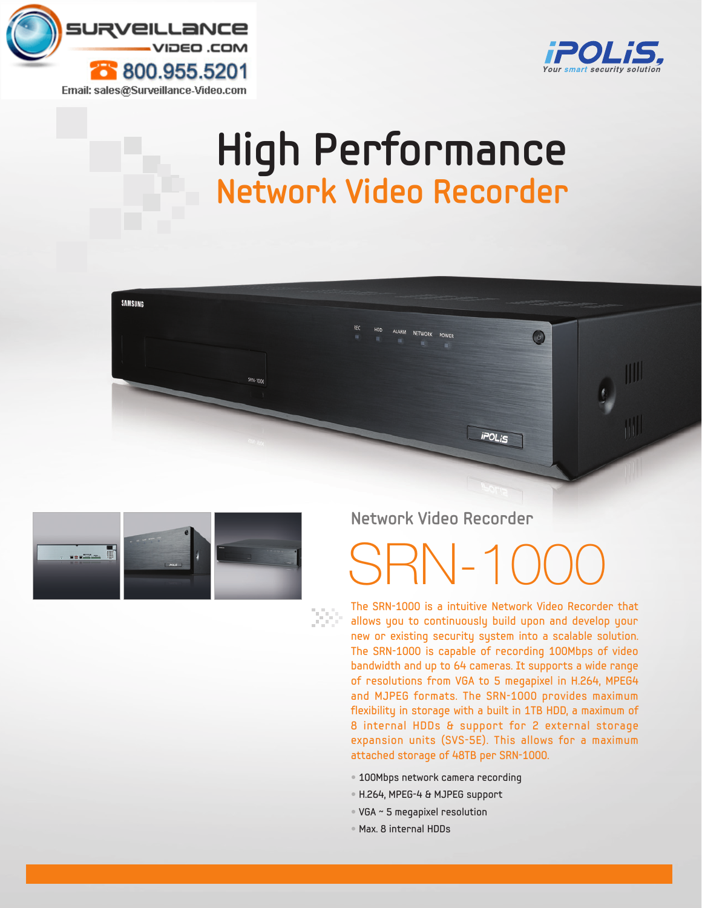

**SAMSUNG** 



## **High Performance Network Video Recorder**





### **Network Video Recorder**

# $SRN-1$

The SRN-1000 is a intuitive Network Video Recorder that allows you to continuously build upon and develop your new or existing security system into a scalable solution. The SRN-1000 is capable of recording 100Mbps of video bandwidth and up to 64 cameras. It supports a wide range of resolutions from VGA to 5 megapixel in H.264, MPEG4 and MJPEG formats. The SRN-1000 provides maximum flexibility in storage with a built in 1TB HDD, a maximum of 8 internal HDDs & support for 2 external storage expansion units (SVS-5E). This allows for a maximum attached storage of 48TB per SRN-1000.

- 100Mbps network camera recording
- H.264, MPEG-4 & MJPEG support
- VGA ~ 5 megapixel resolution
- Max. 8 internal HDDs